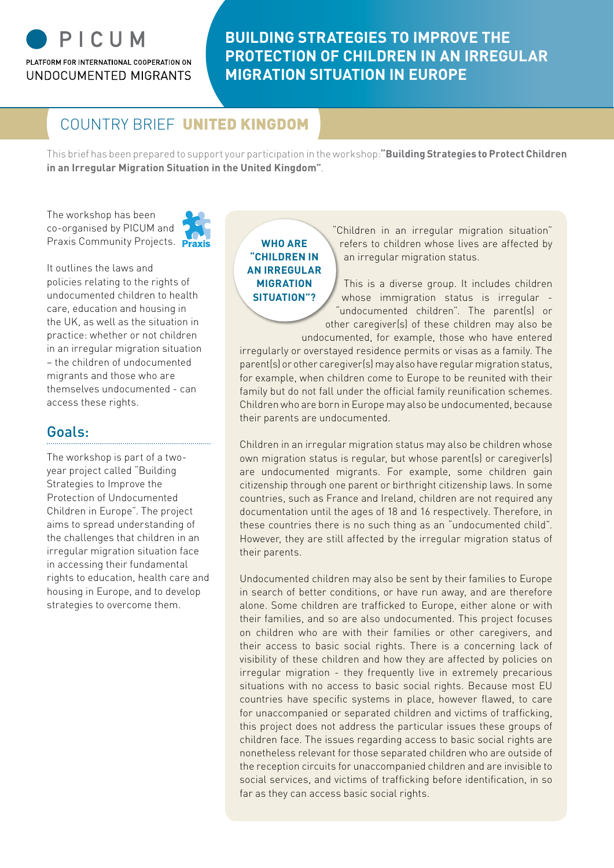# PICUM PLATFORM FOR INTERNATIONAL COOPERATION ON

UNDOCUMENTED MIGRANTS

# **BUILDING STRATEGIES TO IMPROVE THE PROTECTION OF CHILDREN IN AN IRREGULAR MIGRATION SITUATION IN EUROPE**

# COUNTRY BRIEF UNITED KINGDOM

This brief has been prepared to support your participation in the workshop:**"Building Strategies to Protect Children in an Irregular Migration Situation in the United Kingdom"**.

The workshop has been co-organised by PICUM and Praxis Community Projects. Praxis



It outlines the laws and policies relating to the rights of undocumented children to health care, education and housing in the UK, as well as the situation in practice: whether or not children in an irregular migration situation – the children of undocumented migrants and those who are themselves undocumented - can access these rights.

## Goals:

The workshop is part of a twoyear project called "Building Strategies to Improve the Protection of Undocumented Children in Europe". The project aims to spread understanding of the challenges that children in an irregular migration situation face in accessing their fundamental rights to education, health care and housing in Europe, and to develop strategies to overcome them.

**Who are "children in an irregular migration situation"?**

"Children in an irregular migration situation" refers to children whose lives are affected by an irregular migration status.

This is a diverse group. It includes children whose immigration status is irregular -"undocumented children". The parent(s) or other caregiver(s) of these children may also be undocumented, for example, those who have entered

irregularly or overstayed residence permits or visas as a family. The parent(s) or other caregiver(s) may also have regular migration status, for example, when children come to Europe to be reunited with their family but do not fall under the official family reunification schemes. Children who are born in Europe may also be undocumented, because their parents are undocumented.

Children in an irregular migration status may also be children whose own migration status is regular, but whose parent(s) or caregiver(s) are undocumented migrants. For example, some children gain citizenship through one parent or birthright citizenship laws. In some countries, such as France and Ireland, children are not required any documentation until the ages of 18 and 16 respectively. Therefore, in these countries there is no such thing as an "undocumented child". However, they are still affected by the irregular migration status of their parents.

Undocumented children may also be sent by their families to Europe in search of better conditions, or have run away, and are therefore alone. Some children are trafficked to Europe, either alone or with their families, and so are also undocumented. This project focuses on children who are with their families or other caregivers, and their access to basic social rights. There is a concerning lack of visibility of these children and how they are affected by policies on irregular migration - they frequently live in extremely precarious situations with no access to basic social rights. Because most EU countries have specific systems in place, however flawed, to care for unaccompanied or separated children and victims of trafficking, this project does not address the particular issues these groups of children face. The issues regarding access to basic social rights are nonetheless relevant for those separated children who are outside of the reception circuits for unaccompanied children and are invisible to social services, and victims of trafficking before identification, in so far as they can access basic social rights.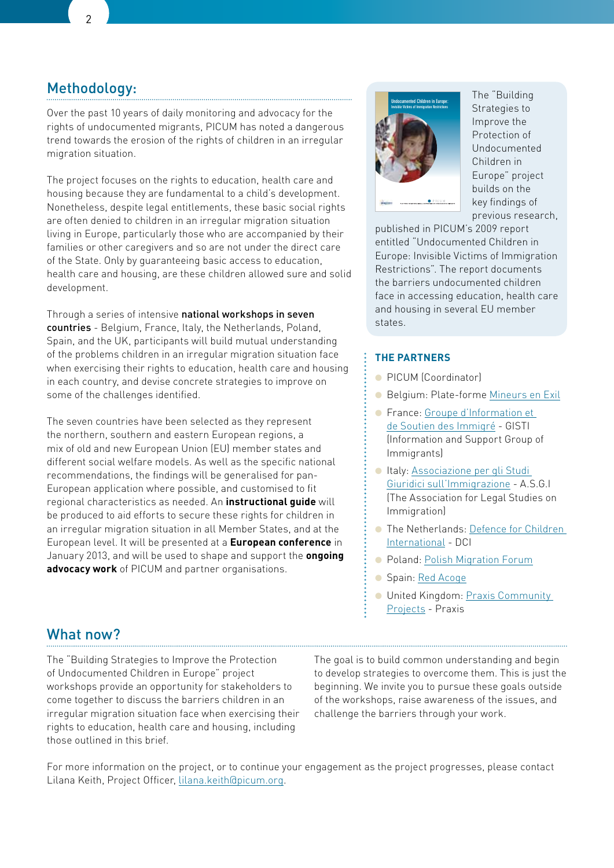## Methodology:

Over the past 10 years of daily monitoring and advocacy for the rights of undocumented migrants, PICUM has noted a dangerous trend towards the erosion of the rights of children in an irregular migration situation.

The project focuses on the rights to education, health care and housing because they are fundamental to a child's development. Nonetheless, despite legal entitlements, these basic social rights are often denied to children in an irregular migration situation living in Europe, particularly those who are accompanied by their families or other caregivers and so are not under the direct care of the State. Only by guaranteeing basic access to education, health care and housing, are these children allowed sure and solid development.

Through a series of intensive national workshops in seven countries - Belgium, France, Italy, the Netherlands, Poland, Spain, and the UK, participants will build mutual understanding of the problems children in an irregular migration situation face when exercising their rights to education, health care and housing in each country, and devise concrete strategies to improve on some of the challenges identified.

The seven countries have been selected as they represent the northern, southern and eastern European regions, a mix of old and new European Union (EU) member states and different social welfare models. As well as the specific national recommendations, the findings will be generalised for pan-European application where possible, and customised to fit regional characteristics as needed. An **instructional guide** will be produced to aid efforts to secure these rights for children in an irregular migration situation in all Member States, and at the European level. It will be presented at a **European conference** in January 2013, and will be used to shape and support the **ongoing advocacy work** of PICUM and partner organisations.



The "Building Strategies to Improve the Protection of Undocumented Children in Europe" project builds on the key findings of previous research,

published in PICUM's 2009 report entitled "Undocumented Children in Europe: Invisible Victims of Immigration Restrictions". The report documents the barriers undocumented children face in accessing education, health care and housing in several EU member states.

#### **The Partners**

- PICUM (Coordinator)
- Belgium: Plate-forme [Mineurs en Exil](http://www.mineursenexil.be/)
- France: [Groupe d'Information et](http://www.gisti.org/index.php)  [de Soutien des Immigré](http://www.gisti.org/index.php) - GISTI (Information and Support Group of Immigrants)
- Italy: Associazione per gli Studi [Giuridici sull'Immigrazione](http://www.asgi.it/home_asgi.php?) - A.S.G.I (The Association for Legal Studies on Immigration)
- The Netherlands: [Defence for Children](http://www.defenceforchildren.org/)  [International](http://www.defenceforchildren.org/) - DCI
- Poland: [Polish Migration Forum](http://www.forummigracyjne.org/en/)
- Spain: [Red Acoge](http://www.redacoge.org/)
- United Kingdom: Praxis Community [Projects](http://www.praxis.org.uk/) - Praxis

## What now?

The "Building Strategies to Improve the Protection of Undocumented Children in Europe" project workshops provide an opportunity for stakeholders to come together to discuss the barriers children in an irregular migration situation face when exercising their rights to education, health care and housing, including those outlined in this brief.

The goal is to build common understanding and begin to develop strategies to overcome them. This is just the beginning. We invite you to pursue these goals outside of the workshops, raise awareness of the issues, and challenge the barriers through your work.

For more information on the project, or to continue your engagement as the project progresses, please contact Lilana Keith, Project Officer, [lilana.keith@picum.org](mailto:lilana.keith@picum.org).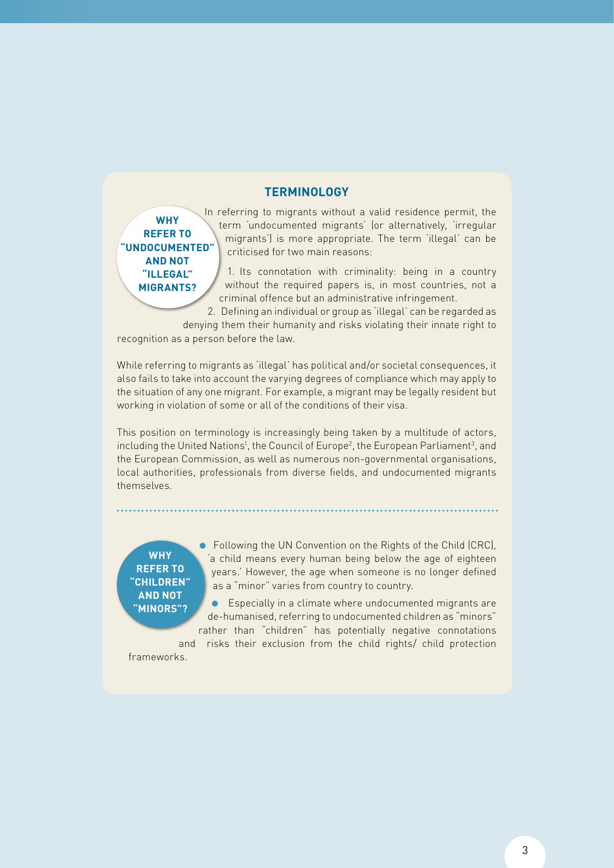### **TERMINOLOGY**

**Why refer to "undocumented" and not "illegal" migrants?**

In referring to migrants without a valid residence permit, the term 'undocumented migrants' (or alternatively, 'irregular migrants') is more appropriate. The term 'illegal' can be criticised for two main reasons:

1. Its connotation with criminality: being in a country without the required papers is, in most countries, not a criminal offence but an administrative infringement.

2. Defining an individual or group as 'illegal' can be regarded as denying them their humanity and risks violating their innate right to

recognition as a person before the law.

While referring to migrants as 'illegal' has political and/or societal consequences, it also fails to take into account the varying degrees of compliance which may apply to the situation of any one migrant. For example, a migrant may be legally resident but working in violation of some or all of the conditions of their visa.

This position on terminology is increasingly being taken by a multitude of actors, including the United Nations<sup>1</sup>, the Council of Europe<sup>2</sup>, the European Parliament<sup>3</sup>, and the European Commission, as well as numerous non-governmental organisations, local authorities, professionals from diverse fields, and undocumented migrants themselves.

**Why refer to "children" and not "minors"?**

● Following the UN Convention on the Rights of the Child (CRC), 'a child means every human being below the age of eighteen years.' However, the age when someone is no longer defined as a "minor" varies from country to country.

● Especially in a climate where undocumented migrants are de-humanised, referring to undocumented children as "minors" rather than "children" has potentially negative connotations

and risks their exclusion from the child rights/ child protection frameworks.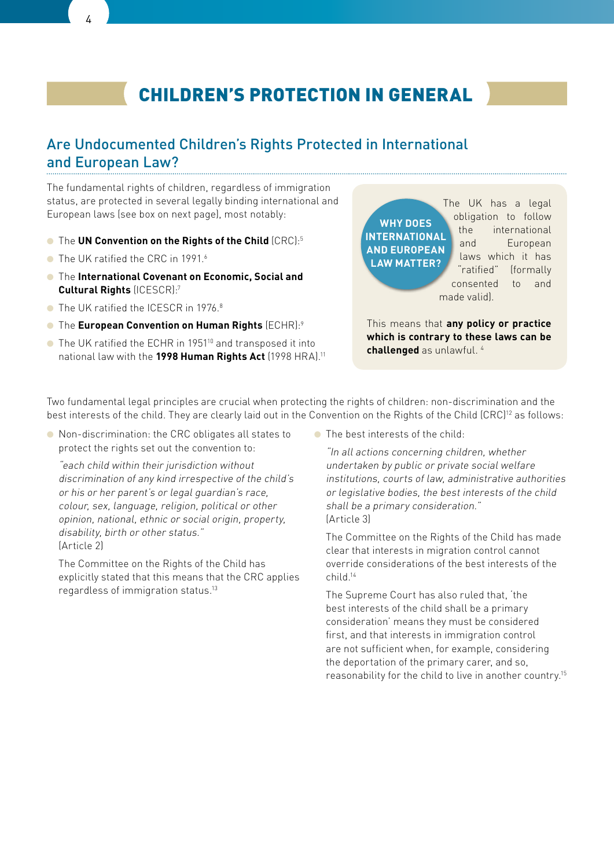# children's protection in general

## Are Undocumented Children's Rights Protected in International and European Law?

The fundamental rights of children, regardless of immigration status, are protected in several legally binding international and European laws (see box on next page), most notably:

- The **UN Convention on the Rights of the Child** (CRC):5
- The UK ratified the CRC in 1991<sup>6</sup>
- The **International Covenant on Economic, Social and Cultural Rights** (ICESCR):7
- The UK ratified the ICESCR in 1976.<sup>8</sup>
- The **European Convention on Human Rights** (ECHR):9
- The UK ratified the ECHR in 1951<sup>10</sup> and transposed it into national law with the **1998 Human Rights Act** (1998 HRA).11

**WHY** DOES **International and European Law Matter?**

The UK has a legal obligation to follow the international and European laws which it has "ratified" (formally consented to and made valid).

This means that **any policy or practice which is contrary to these laws can be challenged** as unlawful. 4

Two fundamental legal principles are crucial when protecting the rights of children: non-discrimination and the best interests of the child. They are clearly laid out in the Convention on the Rights of the Child (CRC)<sup>12</sup> as follows:

● Non-discrimination: the CRC obligates all states to protect the rights set out the convention to:

"each child within their jurisdiction without discrimination of any kind irrespective of the child's or his or her parent's or legal guardian's race, colour, sex, language, religion, political or other opinion, national, ethnic or social origin, property, disability, birth or other status." (Article 2)

The Committee on the Rights of the Child has explicitly stated that this means that the CRC applies regardless of immigration status.13

● The best interests of the child:

"In all actions concerning children, whether undertaken by public or private social welfare institutions, courts of law, administrative authorities or legislative bodies, the best interests of the child shall be a primary consideration." (Article 3)

The Committee on the Rights of the Child has made clear that interests in migration control cannot override considerations of the best interests of the child.14

The Supreme Court has also ruled that, 'the best interests of the child shall be a primary consideration' means they must be considered first, and that interests in immigration control are not sufficient when, for example, considering the deportation of the primary carer, and so, reasonability for the child to live in another country.15

4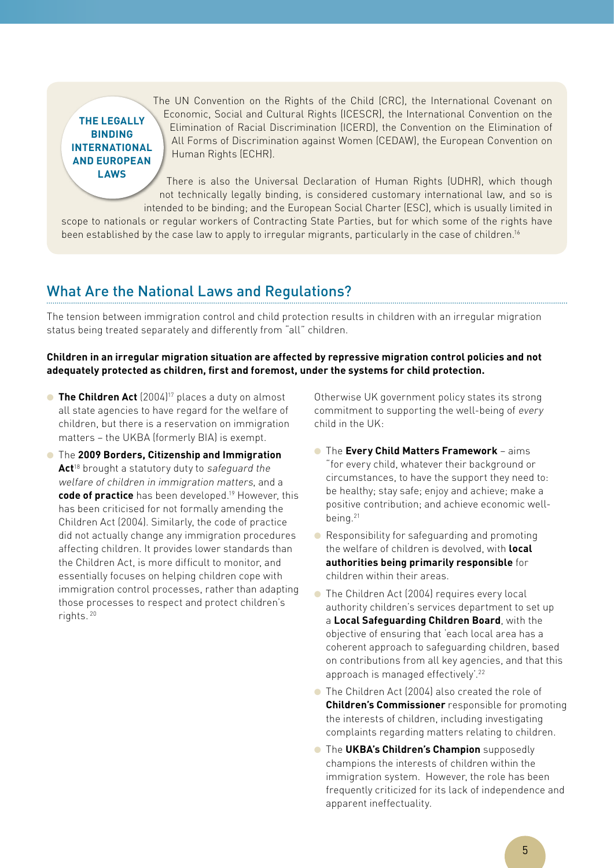### **The legally binding International and European laws**

The UN Convention on the Rights of the Child (CRC), the International Covenant on Economic, Social and Cultural Rights (ICESCR), the International Convention on the Elimination of Racial Discrimination (ICERD), the Convention on the Elimination of All Forms of Discrimination against Women (CEDAW), the European Convention on Human Rights (ECHR).

There is also the Universal Declaration of Human Rights (UDHR), which though not technically legally binding, is considered customary international law, and so is intended to be binding; and the European Social Charter (ESC), which is usually limited in

scope to nationals or regular workers of Contracting State Parties, but for which some of the rights have been established by the case law to apply to irregular migrants, particularly in the case of children.<sup>16</sup>

# What Are the National Laws and Regulations?

The tension between immigration control and child protection results in children with an irregular migration status being treated separately and differently from "all" children.

#### **Children in an irregular migration situation are affected by repressive migration control policies and not adequately protected as children, first and foremost, under the systems for child protection.**

- **The Children Act** (2004)<sup>17</sup> places a duty on almost all state agencies to have regard for the welfare of children, but there is a reservation on immigration matters – the UKBA (formerly BIA) is exempt.
- The **2009 Borders, Citizenship and Immigration**  Act<sup>18</sup> brought a statutory duty to safeguard the welfare of children in immigration matters, and a **code of practice** has been developed.19 However, this has been criticised for not formally amending the Children Act (2004). Similarly, the code of practice did not actually change any immigration procedures affecting children. It provides lower standards than the Children Act, is more difficult to monitor, and essentially focuses on helping children cope with immigration control processes, rather than adapting those processes to respect and protect children's rights. 20

Otherwise UK government policy states its strong commitment to supporting the well-being of every child in the UK:

- The **Every Child Matters Framework** aims "for every child, whatever their background or circumstances, to have the support they need to: be healthy; stay safe; enjoy and achieve; make a positive contribution; and achieve economic wellbeing.21
- Responsibility for safeguarding and promoting the welfare of children is devolved, with **local authorities being primarily responsible** for children within their areas.
- The Children Act (2004) requires every local authority children's services department to set up a **Local Safeguarding Children Board**, with the objective of ensuring that 'each local area has a coherent approach to safeguarding children, based on contributions from all key agencies, and that this approach is managed effectively'.<sup>22</sup>
- The Children Act (2004) also created the role of **Children's Commissioner** responsible for promoting the interests of children, including investigating complaints regarding matters relating to children.
- The **UKBA's Children's Champion** supposedly champions the interests of children within the immigration system. However, the role has been frequently criticized for its lack of independence and apparent ineffectuality.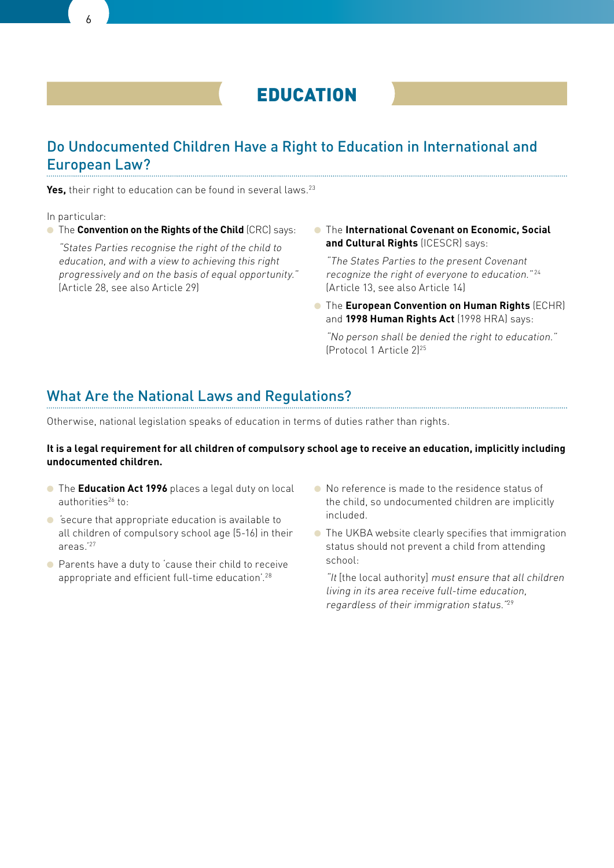

## Do Undocumented Children Have a Right to Education in International and European Law?

Yes, their right to education can be found in several laws.<sup>23</sup>

In particular:

● The **Convention on the Rights of the Child** (CRC) says:

"States Parties recognise the right of the child to education, and with a view to achieving this right progressively and on the basis of equal opportunity." (Article 28, see also Article 29)

● The **International Covenant on Economic, Social and Cultural Rights** (ICESCR) says:

"The States Parties to the present Covenant recognize the right of everyone to education."<sup>24</sup> (Article 13, see also Article 14)

● The **European Convention on Human Rights** (ECHR) and **1998 Human Rights Act** (1998 HRA) says:

"No person shall be denied the right to education." (Protocol 1 Article 2)25

## What Are the National Laws and Regulations?

Otherwise, national legislation speaks of education in terms of duties rather than rights.

#### **It is a legal requirement for all children of compulsory school age to receive an education, implicitly including undocumented children.**

- The **Education Act 1996** places a legal duty on local authorities<sup>26</sup> to:
- 'secure that appropriate education is available to all children of compulsory school age (5-16) in their areas.'27
- Parents have a duty to 'cause their child to receive appropriate and efficient full-time education'.28
- No reference is made to the residence status of the child, so undocumented children are implicitly included.
- The UKBA website clearly specifies that immigration status should not prevent a child from attending school:

"It [the local authority] must ensure that all children living in its area receive full-time education, regardless of their immigration status."<sup>29</sup>

6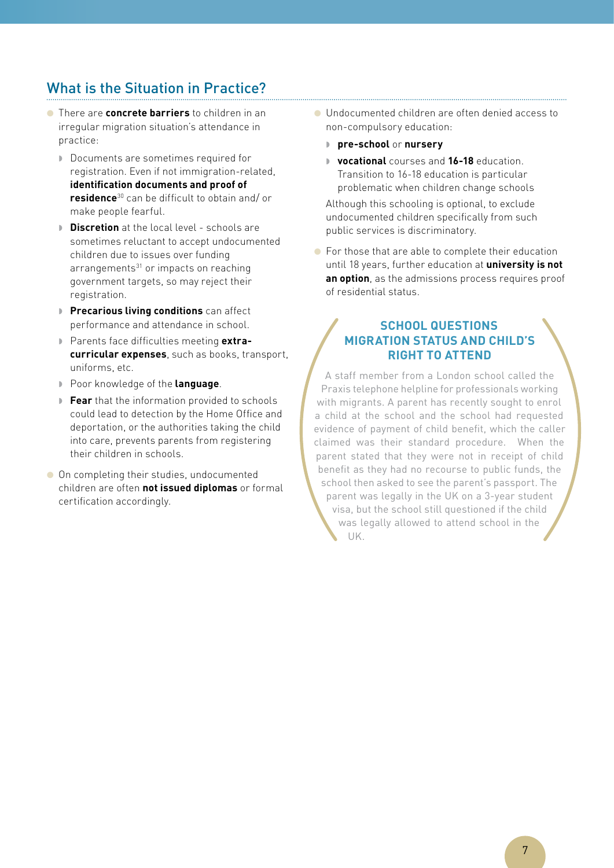# What is the Situation in Practice?

- There are **concrete barriers** to children in an irregular migration situation's attendance in practice:
	- Documents are sometimes required for registration. Even if not immigration-related, **identification documents and proof of residence**30 can be difficult to obtain and/ or make people fearful.
	- **Discretion** at the local level schools are sometimes reluctant to accept undocumented children due to issues over funding arrangements<sup>31</sup> or impacts on reaching government targets, so may reject their registration.
	- **Precarious living conditions** can affect performance and attendance in school.
	- Parents face difficulties meeting **extracurricular expenses**, such as books, transport, uniforms, etc.
	- Poor knowledge of the **language**.
	- **Fear** that the information provided to schools could lead to detection by the Home Office and deportation, or the authorities taking the child into care, prevents parents from registering their children in schools.
- On completing their studies, undocumented children are often **not issued diplomas** or formal certification accordingly.
- Undocumented children are often denied access to non-compulsory education:
	- **pre-school** or **nursery**
	- **vocational** courses and **16-18** education. Transition to 16-18 education is particular problematic when children change schools

Although this schooling is optional, to exclude undocumented children specifically from such public services is discriminatory.

● For those that are able to complete their education until 18 years, further education at **university is not an option**, as the admissions process requires proof of residential status.

### **School Questions Migration Status and Child's Right to Attend**

A staff member from a London school called the Praxis telephone helpline for professionals working with migrants. A parent has recently sought to enrol a child at the school and the school had requested evidence of payment of child benefit, which the caller claimed was their standard procedure. When the parent stated that they were not in receipt of child benefit as they had no recourse to public funds, the school then asked to see the parent's passport. The parent was legally in the UK on a 3-year student visa, but the school still questioned if the child was legally allowed to attend school in the UK.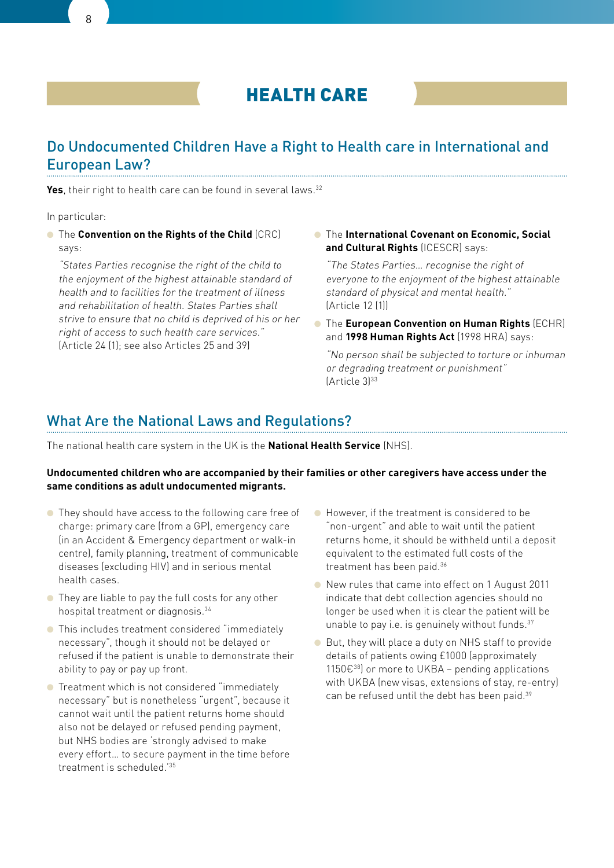

## Do Undocumented Children Have a Right to Health care in International and European Law?

Yes, their right to health care can be found in several laws.<sup>32</sup>

In particular:

**• The Convention on the Rights of the Child** (CRC) says:

"States Parties recognise the right of the child to the enjoyment of the highest attainable standard of health and to facilities for the treatment of illness and rehabilitation of health. States Parties shall strive to ensure that no child is deprived of his or her right of access to such health care services." (Article 24 (1); see also Articles 25 and 39)

● The **International Covenant on Economic, Social and Cultural Rights** (ICESCR) says:

"The States Parties… recognise the right of everyone to the enjoyment of the highest attainable standard of physical and mental health." (Article 12 (1))

● The **European Convention on Human Rights** (ECHR) and **1998 Human Rights Act** (1998 HRA) says:

"No person shall be subjected to torture or inhuman or degrading treatment or punishment"  $[Article 3]^{33}$ 

### What Are the National Laws and Regulations?

The national health care system in the UK is the **National Health Service** (NHS).

#### **Undocumented children who are accompanied by their families or other caregivers have access under the same conditions as adult undocumented migrants.**

- They should have access to the following care free of charge: primary care (from a GP), emergency care (in an Accident & Emergency department or walk-in centre), family planning, treatment of communicable diseases (excluding HIV) and in serious mental health cases.
- They are liable to pay the full costs for any other hospital treatment or diagnosis.34
- This includes treatment considered "immediately necessary", though it should not be delayed or refused if the patient is unable to demonstrate their ability to pay or pay up front.
- Treatment which is not considered "immediately necessary" but is nonetheless "urgent", because it cannot wait until the patient returns home should also not be delayed or refused pending payment, but NHS bodies are 'strongly advised to make every effort… to secure payment in the time before treatment is scheduled.'35
- However, if the treatment is considered to be "non-urgent" and able to wait until the patient returns home, it should be withheld until a deposit equivalent to the estimated full costs of the treatment has been paid.36
- New rules that came into effect on 1 August 2011 indicate that debt collection agencies should no longer be used when it is clear the patient will be unable to pay i.e. is genuinely without funds.37
- But, they will place a duty on NHS staff to provide details of patients owing £1000 (approximately 1150€ $^{38}$ ) or more to UKBA – pending applications with UKBA (new visas, extensions of stay, re-entry) can be refused until the debt has been paid.39

 $\mathsf{Q}$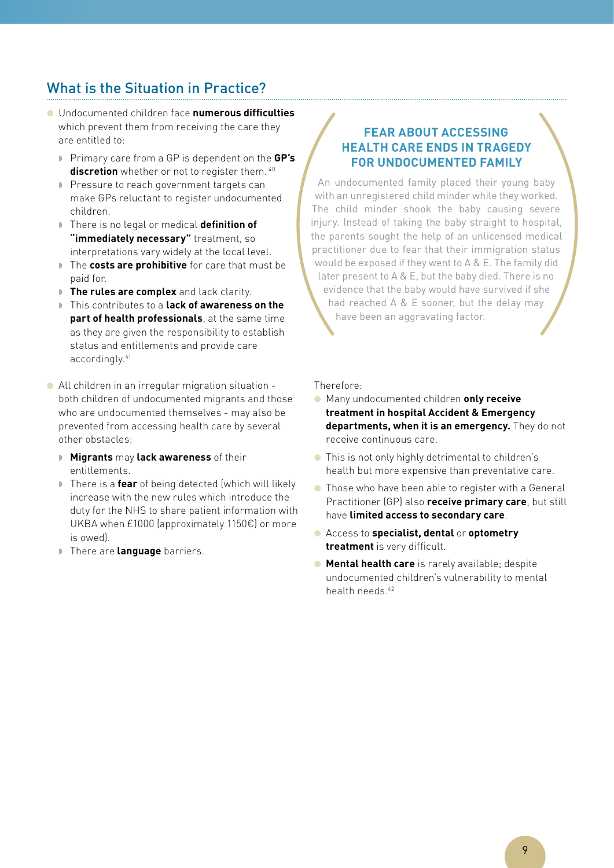# What is the Situation in Practice?

- Undocumented children face **numerous difficulties** which prevent them from receiving the care they are entitled to:
	- Primary care from a GP is dependent on the **GP's discretion** whether or not to register them. <sup>40</sup>
	- Pressure to reach government targets can make GPs reluctant to register undocumented children.
	- There is no legal or medical **definition of "immediately necessary"** treatment, so interpretations vary widely at the local level.
	- The **costs are prohibitive** for care that must be paid for.
	- **The rules are complex** and lack clarity.
	- This contributes to a **lack of awareness on the part of health professionals**, at the same time as they are given the responsibility to establish status and entitlements and provide care accordingly.41
- All children in an irregular migration situation both children of undocumented migrants and those who are undocumented themselves - may also be prevented from accessing health care by several other obstacles:
	- **Migrants** may **lack awareness** of their entitlements.
	- There is a **fear** of being detected (which will likely increase with the new rules which introduce the duty for the NHS to share patient information with UKBA when £1000 (approximately 1150€) or more is owed).
	- **There are language** barriers.

### **Fear about accessing health care ends in tragedy for undocumented family**

An undocumented family placed their young baby with an unregistered child minder while they worked. The child minder shook the baby causing severe injury. Instead of taking the baby straight to hospital. the parents sought the help of an unlicensed medical practitioner due to fear that their immigration status would be exposed if they went to A & E. The family did later present to A & E, but the baby died. There is no evidence that the baby would have survived if she had reached A & E sooner, but the delay may have been an aggravating factor.

Therefore:

- Many undocumented children **only receive treatment in hospital Accident & Emergency departments, when it is an emergency.** They do not receive continuous care.
- This is not only highly detrimental to children's health but more expensive than preventative care.
- Those who have been able to register with a General Practitioner (GP) also **receive primary care**, but still have **limited access to secondary care**.
- Access to **specialist, dental** or **optometry treatment** is very difficult.
- **Mental health care** is rarely available: despite undocumented children's vulnerability to mental health needs.<sup>42</sup>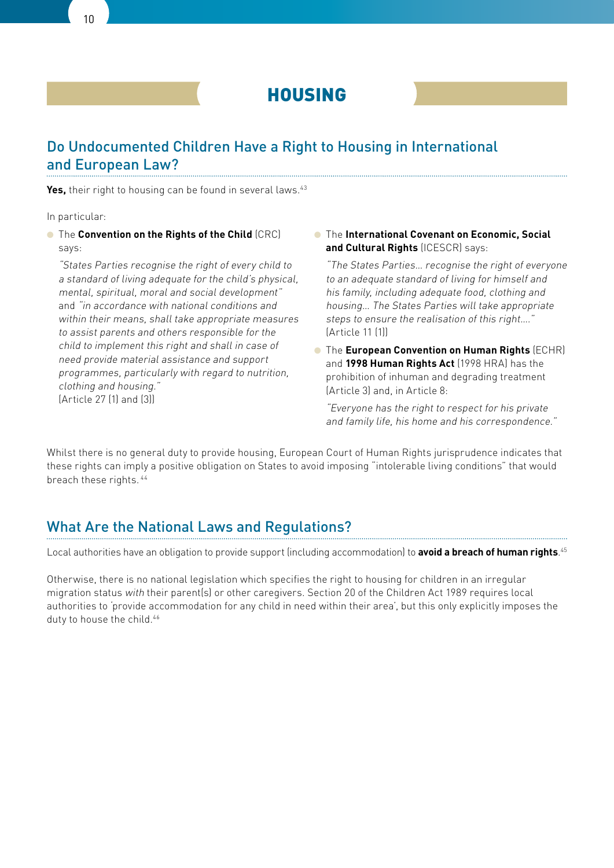

## Do Undocumented Children Have a Right to Housing in International and European Law?

Yes, their right to housing can be found in several laws.<sup>43</sup>

In particular:

**• The Convention on the Rights of the Child** (CRC) says:

"States Parties recognise the right of every child to a standard of living adequate for the child's physical, mental, spiritual, moral and social development" and "in accordance with national conditions and within their means, shall take appropriate measures to assist parents and others responsible for the child to implement this right and shall in case of need provide material assistance and support programmes, particularly with regard to nutrition, clothing and housing." (Article 27 (1) and (3))

● The **International Covenant on Economic, Social and Cultural Rights** (ICESCR) says:

"The States Parties… recognise the right of everyone to an adequate standard of living for himself and his family, including adequate food, clothing and housing… The States Parties will take appropriate steps to ensure the realisation of this right…." (Article 11 (1))

● The **European Convention on Human Rights** (ECHR) and **1998 Human Rights Act** (1998 HRA) has the prohibition of inhuman and degrading treatment (Article 3) and, in Article 8:

"Everyone has the right to respect for his private and family life, his home and his correspondence."

Whilst there is no general duty to provide housing, European Court of Human Rights jurisprudence indicates that these rights can imply a positive obligation on States to avoid imposing "intolerable living conditions" that would breach these rights. 44

## What Are the National Laws and Regulations?

Local authorities have an obligation to provide support (including accommodation) to **avoid a breach of human rights**. 45

Otherwise, there is no national legislation which specifies the right to housing for children in an irregular migration status with their parent(s) or other caregivers. Section 20 of the Children Act 1989 requires local authorities to 'provide accommodation for any child in need within their area', but this only explicitly imposes the duty to house the child.<sup>46</sup>

10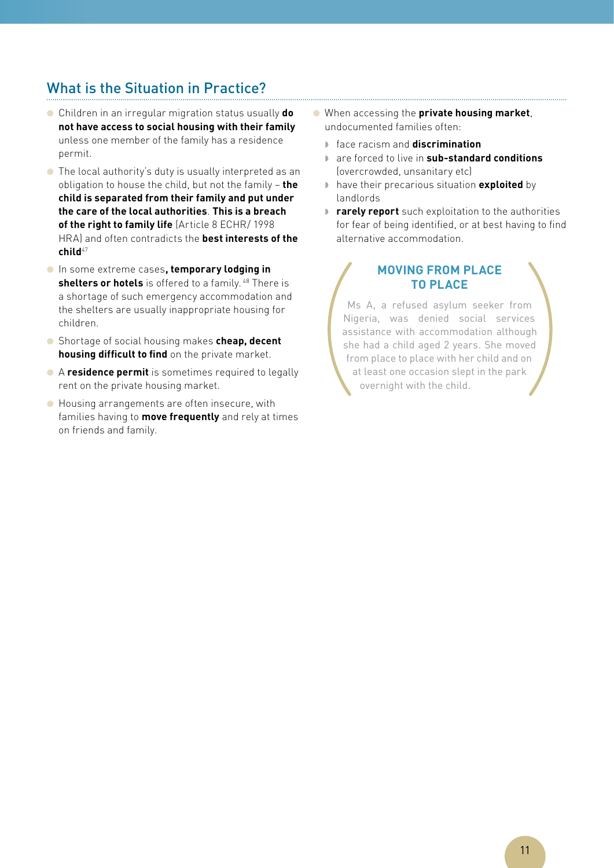# What is the Situation in Practice?

- Children in an irregular migration status usually **do not have access to social housing with their family** unless one member of the family has a residence permit.
- The local authority's duty is usually interpreted as an obligation to house the child, but not the family – **the child is separated from their family and put under the care of the local authorities**. **This is a breach of the right to family life** (Article 8 ECHR/ 1998 HRA) and often contradicts the **best interests of the child**<sup>47</sup>
- In some extreme cases**, temporary lodging in**  shelters or hotels is offered to a family.<sup>48</sup> There is a shortage of such emergency accommodation and the shelters are usually inappropriate housing for children.
- Shortage of social housing makes **cheap, decent housing difficult to find** on the private market.
- A **residence permit** is sometimes required to legally rent on the private housing market.
- Housing arrangements are often insecure, with families having to **move frequently** and rely at times on friends and family.
- When accessing the **private housing market**, undocumented families often:
	- face racism and **discrimination**
	- are forced to live in **sub-standard conditions**  (overcrowded, unsanitary etc)
	- have their precarious situation **exploited** by landlords
	- **rarely report** such exploitation to the authorities for fear of being identified, or at best having to find alternative accommodation.

### **Moving from place to place**

Ms A, a refused asylum seeker from Nigeria, was denied social services assistance with accommodation although she had a child aged 2 years. She moved from place to place with her child and on at least one occasion slept in the park overnight with the child.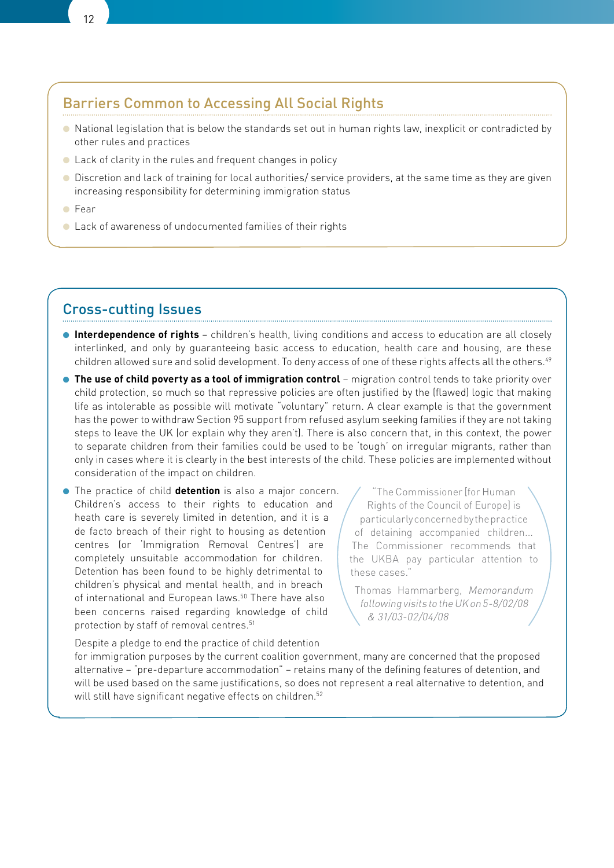## Barriers Common to Accessing All Social Rights

- National legislation that is below the standards set out in human rights law, inexplicit or contradicted by other rules and practices
- Lack of clarity in the rules and frequent changes in policy
- Discretion and lack of training for local authorities/ service providers, at the same time as they are given increasing responsibility for determining immigration status
- Fear
- Lack of awareness of undocumented families of their rights

## Cross-cutting Issues

- **Interdependence of rights**  children's health, living conditions and access to education are all closely interlinked, and only by guaranteeing basic access to education, health care and housing, are these children allowed sure and solid development. To deny access of one of these rights affects all the others.<sup>49</sup>
- **The use of child poverty as a tool of immigration control** migration control tends to take priority over child protection, so much so that repressive policies are often justified by the (flawed) logic that making life as intolerable as possible will motivate "voluntary" return. A clear example is that the government has the power to withdraw Section 95 support from refused asylum seeking families if they are not taking steps to leave the UK (or explain why they aren't). There is also concern that, in this context, the power to separate children from their families could be used to be 'tough' on irregular migrants, rather than only in cases where it is clearly in the best interests of the child. These policies are implemented without consideration of the impact on children.
- The practice of child **detention** is also a major concern. Children's access to their rights to education and heath care is severely limited in detention, and it is a de facto breach of their right to housing as detention centres (or 'Immigration Removal Centres') are completely unsuitable accommodation for children. Detention has been found to be highly detrimental to children's physical and mental health, and in breach of international and European laws.<sup>50</sup> There have also been concerns raised regarding knowledge of child protection by staff of removal centres.<sup>51</sup>

"The Commissioner [for Human Rights of the Council of Europe] is particularly concerned by the practice of detaining accompanied children... The Commissioner recommends that the UKBA pay particular attention to these cases."

Thomas Hammarberg, Memorandum following visits to the UK on 5-8/02/08 & 31/03-02/04/08

Despite a pledge to end the practice of child detention for immigration purposes by the current coalition government, many are concerned that the proposed alternative – "pre-departure accommodation" – retains many of the defining features of detention, and will be used based on the same justifications, so does not represent a real alternative to detention, and will still have significant negative effects on children.<sup>52</sup>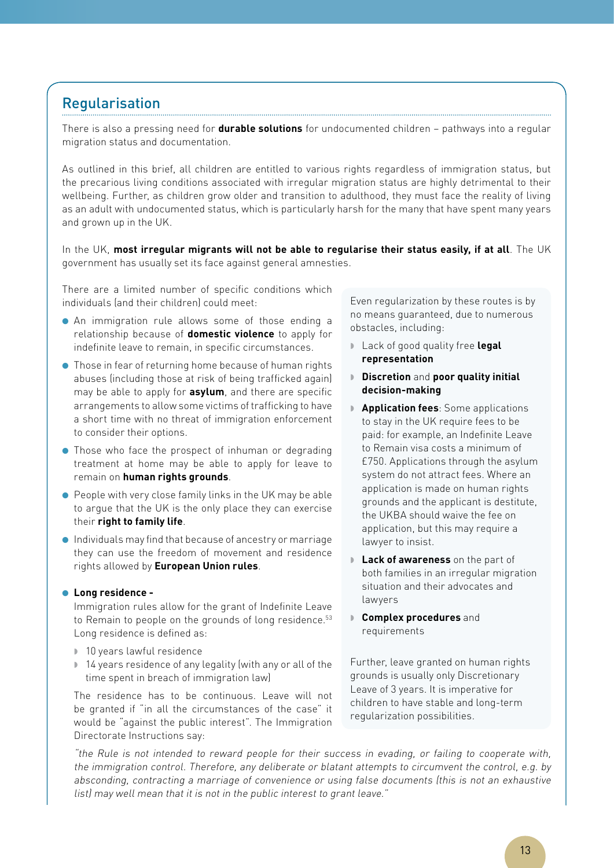## Regularisation

There is also a pressing need for **durable solutions** for undocumented children – pathways into a regular migration status and documentation.

As outlined in this brief, all children are entitled to various rights regardless of immigration status, but the precarious living conditions associated with irregular migration status are highly detrimental to their wellbeing. Further, as children grow older and transition to adulthood, they must face the reality of living as an adult with undocumented status, which is particularly harsh for the many that have spent many years and grown up in the UK.

In the UK, **most irregular migrants will not be able to regularise their status easily, if at all**. The UK government has usually set its face against general amnesties.

There are a limited number of specific conditions which individuals (and their children) could meet:

- An immigration rule allows some of those ending a relationship because of **domestic violence** to apply for indefinite leave to remain, in specific circumstances.
- Those in fear of returning home because of human rights abuses (including those at risk of being trafficked again) may be able to apply for **asylum**, and there are specific arrangements to allow some victims of trafficking to have a short time with no threat of immigration enforcement to consider their options.
- Those who face the prospect of inhuman or degrading treatment at home may be able to apply for leave to remain on **human rights grounds**.
- People with very close family links in the UK may be able to argue that the UK is the only place they can exercise their **right to family life**.
- Individuals may find that because of ancestry or marriage they can use the freedom of movement and residence rights allowed by **European Union rules**.

#### ● **Long residence -**

Immigration rules allow for the grant of Indefinite Leave to Remain to people on the grounds of long residence.<sup>53</sup> Long residence is defined as:

- 10 years lawful residence
- 14 years residence of any legality (with any or all of the time spent in breach of immigration law)

The residence has to be continuous. Leave will not be granted if "in all the circumstances of the case" it would be "against the public interest". The Immigration Directorate Instructions say:

Even regularization by these routes is by no means guaranteed, due to numerous obstacles, including:

- Lack of good quality free **legal representation**
- **Discretion** and **poor quality initial decision-making**
- **Application fees**: Some applications to stay in the UK require fees to be paid: for example, an Indefinite Leave to Remain visa costs a minimum of £750. Applications through the asylum system do not attract fees. Where an application is made on human rights grounds and the applicant is destitute, the UKBA should waive the fee on application, but this may require a lawyer to insist.
- **Lack of awareness** on the part of both families in an irregular migration situation and their advocates and lawyers
- **Complex procedures** and requirements

Further, leave granted on human rights grounds is usually only Discretionary Leave of 3 years. It is imperative for children to have stable and long-term regularization possibilities.

"the Rule is not intended to reward people for their success in evading, or failing to cooperate with, the immigration control. Therefore, any deliberate or blatant attempts to circumvent the control, e.g. by absconding, contracting a marriage of convenience or using false documents (this is not an exhaustive list) may well mean that it is not in the public interest to grant leave."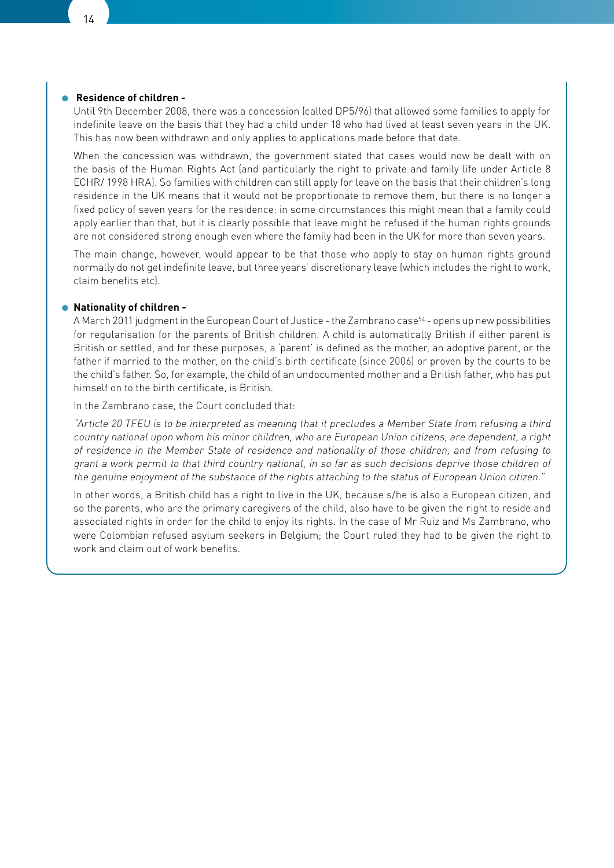#### ● **Residence of children -**

Until 9th December 2008, there was a concession (called DP5/96) that allowed some families to apply for indefinite leave on the basis that they had a child under 18 who had lived at least seven years in the UK. This has now been withdrawn and only applies to applications made before that date.

When the concession was withdrawn, the government stated that cases would now be dealt with on the basis of the Human Rights Act (and particularly the right to private and family life under Article 8 ECHR/ 1998 HRA). So families with children can still apply for leave on the basis that their children's long residence in the UK means that it would not be proportionate to remove them, but there is no longer a fixed policy of seven years for the residence: in some circumstances this might mean that a family could apply earlier than that, but it is clearly possible that leave might be refused if the human rights grounds are not considered strong enough even where the family had been in the UK for more than seven years.

The main change, however, would appear to be that those who apply to stay on human rights ground normally do not get indefinite leave, but three years' discretionary leave (which includes the right to work, claim benefits etc).

#### ● **Nationality of children -**

A March 2011 judgment in the European Court of Justice - the Zambrano case<sup>54</sup> - opens up new possibilities for regularisation for the parents of British children. A child is automatically British if either parent is British or settled, and for these purposes, a 'parent' is defined as the mother, an adoptive parent, or the father if married to the mother, on the child's birth certificate (since 2006) or proven by the courts to be the child's father. So, for example, the child of an undocumented mother and a British father, who has put himself on to the birth certificate, is British.

In the Zambrano case, the Court concluded that:

"Article 20 TFEU is to be interpreted as meaning that it precludes a Member State from refusing a third country national upon whom his minor children, who are European Union citizens, are dependent, a right of residence in the Member State of residence and nationality of those children, and from refusing to grant a work permit to that third country national, in so far as such decisions deprive those children of the genuine enjoyment of the substance of the rights attaching to the status of European Union citizen."

In other words, a British child has a right to live in the UK, because s/he is also a European citizen, and so the parents, who are the primary caregivers of the child, also have to be given the right to reside and associated rights in order for the child to enjoy its rights. In the case of Mr Ruiz and Ms Zambrano, who were Colombian refused asylum seekers in Belgium; the Court ruled they had to be given the right to work and claim out of work benefits.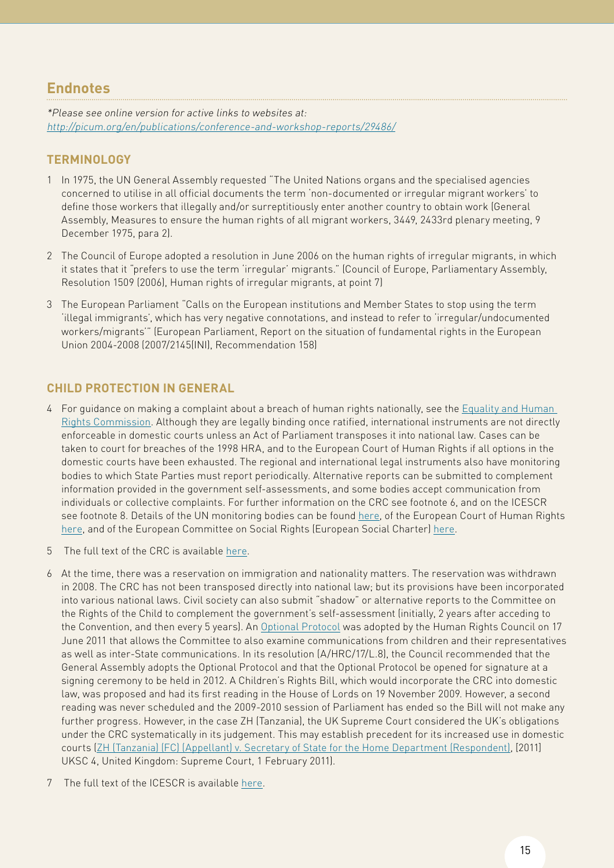## **Endnotes**

\*Please see online version for active links to websites at: http://picum.org/en/publications/conference-and-workshop-reports/29486/

### **Terminology**

- 1 In 1975, the UN General Assembly requested "The United Nations organs and the specialised agencies concerned to utilise in all official documents the term 'non-documented or irregular migrant workers' to define those workers that illegally and/or surreptitiously enter another country to obtain work (General Assembly, Measures to ensure the human rights of all migrant workers, 3449, 2433rd plenary meeting, 9 December 1975, para 2).
- 2 The Council of Europe adopted a resolution in June 2006 on the human rights of irregular migrants, in which it states that it "prefers to use the term 'irregular' migrants." (Council of Europe, Parliamentary Assembly, Resolution 1509 (2006), Human rights of irregular migrants, at point 7)
- 3 The European Parliament "Calls on the European institutions and Member States to stop using the term 'illegal immigrants', which has very negative connotations, and instead to refer to 'irregular/undocumented workers/migrants'" (European Parliament, Report on the situation of fundamental rights in the European Union 2004-2008 (2007/2145(INI), Recommendation 158)

### **Child Protection in General**

- 4 For guidance on making a complaint about a breach of human rights nationally, see the Equality and Human [Rights Commission](http://www.equalityhumanrights.com/human-rights/using-your-human-rights/). Although they are legally binding once ratified, international instruments are not directly enforceable in domestic courts unless an Act of Parliament transposes it into national law. Cases can be taken to court for breaches of the 1998 HRA, and to the European Court of Human Rights if all options in the domestic courts have been exhausted. The regional and international legal instruments also have monitoring bodies to which State Parties must report periodically. Alternative reports can be submitted to complement information provided in the government self-assessments, and some bodies accept communication from individuals or collective complaints. For further information on the CRC see footnote 6, and on the ICESCR see footnote 8. Details of the UN monitoring bodies can be found [here,](http://www.ohchr.org/en/hrbodies/Pages/HumanRightsBodies.aspx) of the European Court of Human Rights [here,](http://www.echr.coe.int/echr/homepage_EN) and of the European Committee on Social Rights (European Social Charter) [here.](http://www.coe.int/t/dghl/monitoring/socialcharter/ECSR/ECSRdefault_en.asp)
- 5 The full text of the CRC is available [here.](http://www2.ohchr.org/english/law/crc.htm)
- 6 At the time, there was a reservation on immigration and nationality matters. The reservation was withdrawn in 2008. The CRC has not been transposed directly into national law; but its provisions have been incorporated into various national laws. Civil society can also submit "shadow" or alternative reports to the Committee on the Rights of the Child to complement the government's self-assessment (initially, 2 years after acceding to the Convention, and then every 5 years). An [Optional Protocol](http://daccess-ods.un.org/access.nsf/Get?Open&DS=A/HRC/17/L.8&Lang=E) was adopted by the Human Rights Council on 17 June 2011 that allows the Committee to also examine communications from children and their representatives as well as inter-State communications. In its resolution (A/HRC/17/L.8), the Council recommended that the General Assembly adopts the Optional Protocol and that the Optional Protocol be opened for signature at a signing ceremony to be held in 2012. A Children's Rights Bill, which would incorporate the CRC into domestic law, was proposed and had its first reading in the House of Lords on 19 November 2009. However, a second reading was never scheduled and the 2009-2010 session of Parliament has ended so the Bill will not make any further progress. However, in the case ZH (Tanzania), the UK Supreme Court considered the UK's obligations under the CRC systematically in its judgement. This may establish precedent for its increased use in domestic courts ([ZH \(Tanzania\) \(FC\) \(Appellant\) v. Secretary of State for the Home Department \(Respondent\),](http://www.supremecourt.gov.uk/decided-cases/docs/UKSC_2010_0002_Judgment.pdf) [2011] UKSC 4, United Kingdom: Supreme Court, 1 February 2011).
- 7 The full text of the ICESCR is available [here.](http://www2.ohchr.org/english/law/cescr.htm)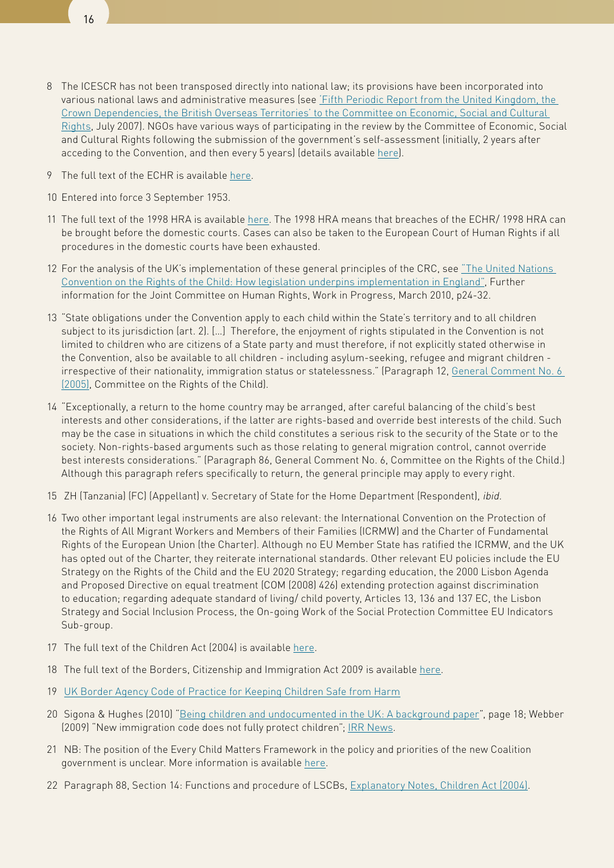

- 8 The ICESCR has not been transposed directly into national law; its provisions have been incorporated into various national laws and administrative measures (see ['Fifth Periodic Report from the United Kingdom, the](http://www.justice.gov.uk/publications/docs/ICESCR-whole-report.pdf)  [Crown Dependencies, the British Overseas Territories' to the Committee on Economic, Social and Cultural](http://www.justice.gov.uk/publications/docs/ICESCR-whole-report.pdf)  [Rights](http://www.justice.gov.uk/publications/docs/ICESCR-whole-report.pdf), July 2007). NGOs have various ways of participating in the review by the Committee of Economic, Social and Cultural Rights following the submission of the government's self-assessment (initially, 2 years after acceding to the Convention, and then every 5 years) (details available [here\)](http://www2.ohchr.org/english/bodies/cescr/NGOs.htm).
- 9 The full text of the ECHR is available [here](http://www.echr.coe.int/NR/rdonlyres/D5CC24A7-DC13-4318-B457-5C9014916D7A/0/ENG_CONV.pdf).
- 10 Entered into force 3 September 1953.
- 11 The full text of the 1998 HRA is available [here.](http://www.legislation.gov.uk/ukpga/1998/42/contents) The 1998 HRA means that breaches of the ECHR/ 1998 HRA can be brought before the domestic courts. Cases can also be taken to the European Court of Human Rights if all procedures in the domestic courts have been exhausted.
- 12 For the analysis of the UK's implementation of these general principles of the CRC, see ["The United Nations](https://media.education.gov.uk/assets/files/doc/t/uncrc  how legislation underpins implementation in england march 2010.doc)  [Convention on the Rights of the Child: How legislation underpins implementation in England",](https://media.education.gov.uk/assets/files/doc/t/uncrc   how legislation underpins implementation in england march 2010.doc) Further information for the Joint Committee on Human Rights, Work in Progress, March 2010, p24-32.
- 13 "State obligations under the Convention apply to each child within the State's territory and to all children subject to its jurisdiction (art. 2). […] Therefore, the enjoyment of rights stipulated in the Convention is not limited to children who are citizens of a State party and must therefore, if not explicitly stated otherwise in the Convention, also be available to all children - including asylum-seeking, refugee and migrant children irrespective of their nationality, immigration status or statelessness." (Paragraph 12, [General Comment No. 6](http://daccess-dds-ny.un.org/doc/UNDOC/GEN/G05/438/05/PDF/G0543805.pdf?OpenElement)  [\(2005\),](http://daccess-dds-ny.un.org/doc/UNDOC/GEN/G05/438/05/PDF/G0543805.pdf?OpenElement) Committee on the Rights of the Child).
- 14 "Exceptionally, a return to the home country may be arranged, after careful balancing of the child's best interests and other considerations, if the latter are rights-based and override best interests of the child. Such may be the case in situations in which the child constitutes a serious risk to the security of the State or to the society. Non-rights-based arguments such as those relating to general migration control, cannot override best interests considerations." (Paragraph 86, General Comment No. 6, Committee on the Rights of the Child.) Although this paragraph refers specifically to return, the general principle may apply to every right.
- 15 ZH (Tanzania) (FC) (Appellant) v. Secretary of State for the Home Department (Respondent), *ibid.*
- 16 Two other important legal instruments are also relevant: the International Convention on the Protection of the Rights of All Migrant Workers and Members of their Families (ICRMW) and the Charter of Fundamental Rights of the European Union (the Charter). Although no EU Member State has ratified the ICRMW, and the UK has opted out of the Charter, they reiterate international standards. Other relevant EU policies include the EU Strategy on the Rights of the Child and the EU 2020 Strategy; regarding education, the 2000 Lisbon Agenda and Proposed Directive on equal treatment (COM (2008) 426) extending protection against discrimination to education; regarding adequate standard of living/ child poverty, Articles 13, 136 and 137 EC, the Lisbon Strategy and Social Inclusion Process, the On-going Work of the Social Protection Committee EU Indicators Sub-group.
- 17 The full text of the Children Act (2004) is available [here.](http://www.legislation.gov.uk/ukpga/2004/31/contents)
- 18 The full text of the Borders, Citizenship and Immigration Act 2009 is available [here](http://www.legislation.gov.uk/ukpga/2009/11/contents).
- 19 [UK Border Agency Code of Practice for Keeping Children Safe from Harm](http://www.ukba.homeoffice.gov.uk/sitecontent/documents/policyandlaw/consultations/closedconsultations/keepingchildrensafe/codeofpracticechildren?view=Binary)
- 20 Sigona & Hughes (2010) ["Being children and undocumented in the UK: A background paper"](http://www.compas.ox.ac.uk/fileadmin/files/pdfs/Working_Papers/WP1078 Nando Sigona.pdf), page 18; Webber (2009) "New immigration code does not fully protect children"; [IRR News](http://www.irr.org.uk/2009/january/bw000006.html).
- 21 NB: The position of the Every Child Matters Framework in the policy and priorities of the new Coalition government is unclear. More information is available [here.](http://www.everychildmattersbook.co.uk/every-child-matters-and-the-alliance-government)
- 22 Paragraph 88, Section 14: Functions and procedure of LSCBs, [Explanatory Notes, Children Act \(2004\).](http://www.legislation.gov.uk/ukpga/2004/31/notes/division/2/2/2)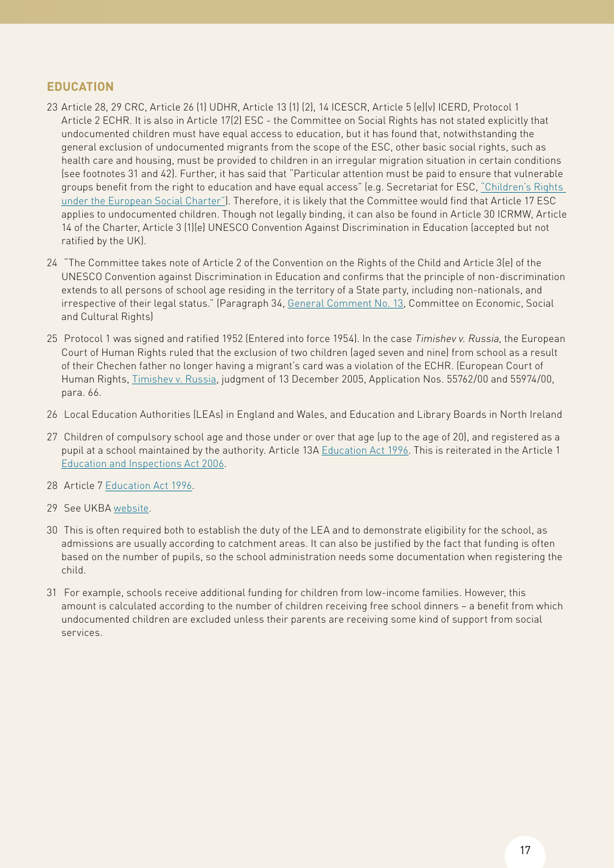### **Education**

- 23 Article 28, 29 CRC, Article 26 (1) UDHR, Article 13 (1) (2), 14 ICESCR, Article 5 (e)(v) ICERD, Protocol 1 Article 2 ECHR. It is also in Article 17(2) ESC - the Committee on Social Rights has not stated explicitly that undocumented children must have equal access to education, but it has found that, notwithstanding the general exclusion of undocumented migrants from the scope of the ESC, other basic social rights, such as health care and housing, must be provided to children in an irregular migration situation in certain conditions (see footnotes 31 and 42). Further, it has said that "Particular attention must be paid to ensure that vulnerable groups benefit from the right to education and have equal access" (e.g. Secretariat for ESC, ["Children's Rights](http://www.coe.int/t/dghl/monitoring/socialcharter/Theme factsheets/FactsheetChildren_en.pdf)  [under the European Social Charter"](http://www.coe.int/t/dghl/monitoring/socialcharter/Theme factsheets/FactsheetChildren_en.pdf)). Therefore, it is likely that the Committee would find that Article 17 ESC applies to undocumented children. Though not legally binding, it can also be found in Article 30 ICRMW, Article 14 of the Charter, Article 3 (1)(e) UNESCO Convention Against Discrimination in Education (accepted but not ratified by the UK).
- 24 "The Committee takes note of Article 2 of the Convention on the Rights of the Child and Article 3(e) of the UNESCO Convention against Discrimination in Education and confirms that the principle of non-discrimination extends to all persons of school age residing in the territory of a State party, including non-nationals, and irrespective of their legal status." (Paragraph 34, [General Comment No. 13](http://www.unhchr.ch/tbs/doc.nsf/%28Symbol%29/ae1a0b126d068e868025683c003c8b3b?Opendocument), Committee on Economic, Social and Cultural Rights)
- 25 Protocol 1 was signed and ratified 1952 (Entered into force 1954). In the case Timishev v. Russia, the European Court of Human Rights ruled that the exclusion of two children (aged seven and nine) from school as a result of their Chechen father no longer having a migrant's card was a violation of the ECHR. (European Court of Human Rights, [Timishev v. Russia,](http://www.humanrights.is/the-human-rights-project/humanrightscasesandmaterials/cases/regionalcases/europeancourtofhumanrights/nr/2662) judgment of 13 December 2005, Application Nos. 55762/00 and 55974/00, para. 66.
- 26 Local Education Authorities (LEAs) in England and Wales, and Education and Library Boards in North Ireland
- 27 Children of compulsory school age and those under or over that age (up to the age of 20), and registered as a pupil at a school maintained by the authority. Article 13A [Education Act 1996](http://www.opsi.gov.uk/Acts/acts1996/ukpga_19960056_en_1). This is reiterated in the Article 1 [Education and Inspections Act 2006](http://www.opsi.gov.uk/acts/acts2006/ukpga_20060040_en_1).
- 28 Article 7 [Education Act 1996](http://www.opsi.gov.uk/Acts/acts1996/ukpga_19960056_en_1).
- 29 See UKBA [website](http://www.ukba.homeoffice.gov.uk/while-in-uk/rightsandresponsibilities/education/).
- 30 This is often required both to establish the duty of the LEA and to demonstrate eligibility for the school, as admissions are usually according to catchment areas. It can also be justified by the fact that funding is often based on the number of pupils, so the school administration needs some documentation when registering the child.
- 31 For example, schools receive additional funding for children from low-income families. However, this amount is calculated according to the number of children receiving free school dinners – a benefit from which undocumented children are excluded unless their parents are receiving some kind of support from social services.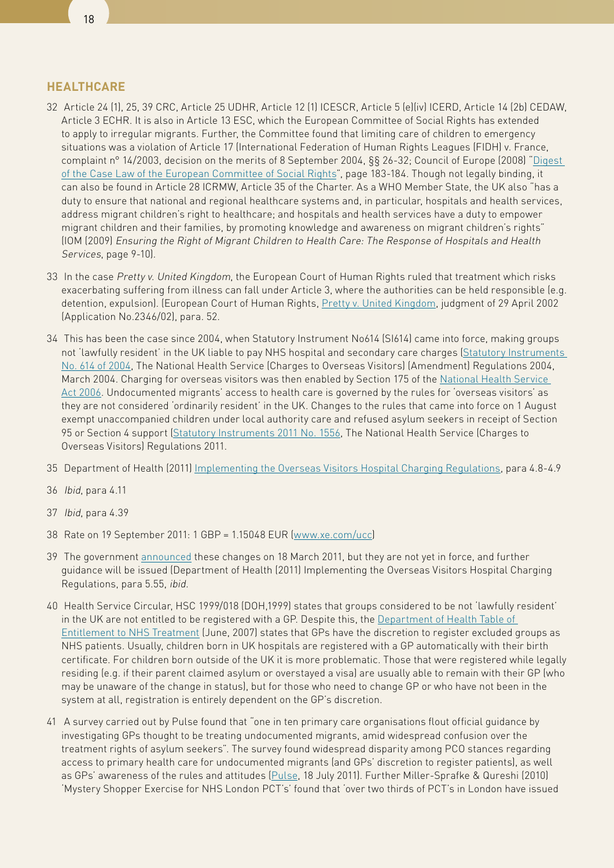#### **Healthcare**

- 32 Article 24 (1), 25, 39 CRC, Article 25 UDHR, Article 12 (1) ICESCR, Article 5 (e)(iv) ICERD, Article 14 (2b) CEDAW, Article 3 ECHR. It is also in Article 13 ESC, which the European Committee of Social Rights has extended to apply to irregular migrants. Further, the Committee found that limiting care of children to emergency situations was a violation of Article 17 (International Federation of Human Rights Leagues (FIDH) v. France, complaint n° 14/2003, decision on the merits of 8 September 2004, §§ 26-32; Council of Europe (2008) "[Digest](http://www.coe.int/t/dghl/monitoring/socialcharter/Digest/DigestSept2008_en.pdf)  [of the Case Law of the European Committee of Social Rights](http://www.coe.int/t/dghl/monitoring/socialcharter/Digest/DigestSept2008_en.pdf)", page 183-184. Though not legally binding, it can also be found in Article 28 ICRMW, Article 35 of the Charter. As a WHO Member State, the UK also "has a duty to ensure that national and regional healthcare systems and, in particular, hospitals and health services, address migrant children's right to healthcare; and hospitals and health services have a duty to empower migrant children and their families, by promoting knowledge and awareness on migrant children's rights" (IOM (2009) Ensuring the Right of Migrant Children to Health Care: The Response of Hospitals and Health Services, page 9-10).
- 33 In the case Pretty v. United Kingdom, the European Court of Human Rights ruled that treatment which risks exacerbating suffering from illness can fall under Article 3, where the authorities can be held responsible (e.g. detention, expulsion). (European Court of Human Rights, [Pretty v. United Kingdom,](http://www.pusc.it/can/p_martinagar/lrgiurisprinternaz/HUDOC/Pretty/PRETTY vs UNITED) judgment of 29 April 2002 (Application No.2346/02), para. 52.
- 34 This has been the case since 2004, when Statutory Instrument No614 (SI614) came into force, making groups not 'lawfully resident' in the UK liable to pay NHS hospital and secondary care charges [\(Statutory Instruments](http://www.legislation.gov.uk/uksi/2004/614/contents/made)  [No. 614 of 2004,](http://www.legislation.gov.uk/uksi/2004/614/contents/made) The National Health Service (Charges to Overseas Visitors) (Amendment) Regulations 2004, March 2004. Charging for overseas visitors was then enabled by Section 175 of the [National Health Service](http://www.legislation.gov.uk/ukpga/2006/41/contents)  [Act 2006](http://www.legislation.gov.uk/ukpga/2006/41/contents). Undocumented migrants' access to health care is governed by the rules for 'overseas visitors' as they are not considered 'ordinarily resident' in the UK. Changes to the rules that came into force on 1 August exempt unaccompanied children under local authority care and refused asylum seekers in receipt of Section 95 or Section 4 support [\(Statutory Instruments 2011 No. 1556](http://api.ning.com/files/0HsvDZhUAlChn4VDXDD97SLpoqnehDcLPKTIC7uhuOr7vONNg0tXRFAIlGjdiTJhTJnyfPAUQxVRaj9yiWy8xEs9dcjRpKG0/NationalHealthServiceRegulations27June.pdf), The National Health Service (Charges to Overseas Visitors) Regulations 2011.
- 35 Department of Health (2011) [Implementing the Overseas Visitors Hospital Charging Regulations](http://api.ning.com/files/RkT5IfagSCnOuOllMAwk9biclB1U93nCschPWokBQyZobCI24JRhuTKzTkMlWFuT3uKGZVmn7azUjhahl3cQ-jg40I44JKme/DHGuidanceJune2011.pdf), para 4.8-4.9
- 36 Ibid, para 4.11
- 37 Ibid, para 4.39
- 38 Rate on 19 September 2011: 1 GBP = 1.15048 EUR ([www.xe.com/ucc\)](http://www.xe.com/ucc)
- 39 The government [announced](http://www.ukba.homeoffice.gov.uk/sitecontent/newsarticles/2011/march/51-getting-tough-on-nhs-debtors) these changes on 18 March 2011, but they are not yet in force, and further guidance will be issued (Department of Health (2011) Implementing the Overseas Visitors Hospital Charging Regulations, para 5.55, ibid.
- 40 Health Service Circular, HSC 1999/018 (DOH,1999) states that groups considered to be not 'lawfully resident' in the UK are not entitled to be registered with a GP. Despite this, the [Department of Health Table of](http://www.medact.org/content/refugees/Briefing V1 agreed.pdf)  [Entitlement to NHS Treatment](http://www.medact.org/content/refugees/Briefing V1 agreed.pdf) (June, 2007) states that GPs have the discretion to register excluded groups as NHS patients. Usually, children born in UK hospitals are registered with a GP automatically with their birth certificate. For children born outside of the UK it is more problematic. Those that were registered while legally residing (e.g. if their parent claimed asylum or overstayed a visa) are usually able to remain with their GP (who may be unaware of the change in status), but for those who need to change GP or who have not been in the system at all, registration is entirely dependent on the GP's discretion.
- 41 A survey carried out by Pulse found that "one in ten primary care organisations flout official guidance by investigating GPs thought to be treating undocumented migrants, amid widespread confusion over the treatment rights of asylum seekers". The survey found widespread disparity among PCO stances regarding access to primary health care for undocumented migrants (and GPs' discretion to register patients), as well as GPs' awareness of the rules and attitudes [\(Pulse,](http://www.pulsetoday.co.uk/newsarticle-content/-/article_display_list/12426580/gps-treating-asylum-seekers-unfairly-targeted-by-pcos) 18 July 2011). Further Miller-Sprafke & Qureshi (2010) 'Mystery Shopper Exercise for NHS London PCT's' found that 'over two thirds of PCT's in London have issued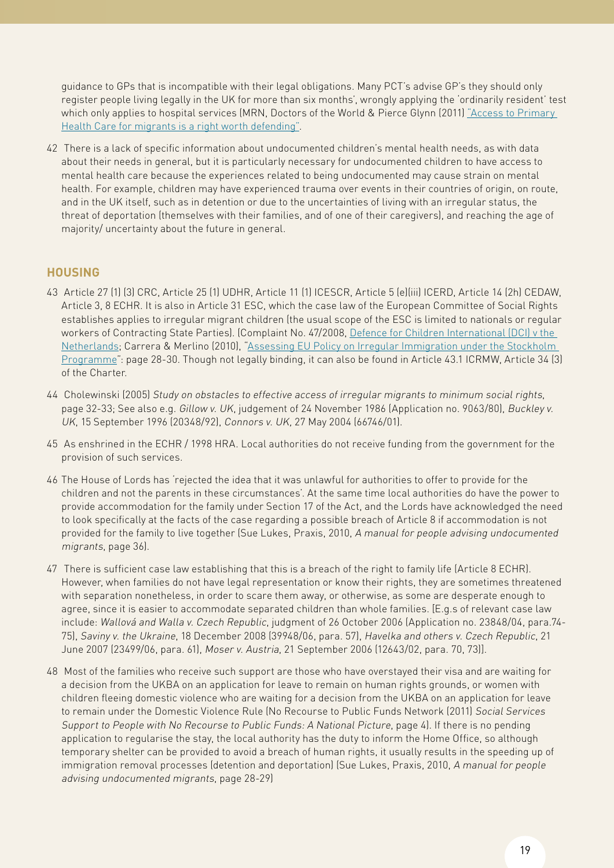guidance to GPs that is incompatible with their legal obligations. Many PCT's advise GP's they should only register people living legally in the UK for more than six months', wrongly applying the 'ordinarily resident' test which only applies to hospital services (MRN, Doctors of the World & Pierce Glynn (2011) ["Access to Primary](http://www.migrantsrights.org.uk/files/Access-to-Health-Care.pdf)  [Health Care for migrants is a right worth defending"](http://www.migrantsrights.org.uk/files/Access-to-Health-Care.pdf).

42 There is a lack of specific information about undocumented children's mental health needs, as with data about their needs in general, but it is particularly necessary for undocumented children to have access to mental health care because the experiences related to being undocumented may cause strain on mental health. For example, children may have experienced trauma over events in their countries of origin, on route, and in the UK itself, such as in detention or due to the uncertainties of living with an irregular status, the threat of deportation (themselves with their families, and of one of their caregivers), and reaching the age of majority/ uncertainty about the future in general.

### **Housing**

- 43 Article 27 (1) (3) CRC, Article 25 (1) UDHR, Article 11 (1) ICESCR, Article 5 (e)(iii) ICERD, Article 14 (2h) CEDAW, Article 3, 8 ECHR. It is also in Article 31 ESC, which the case law of the European Committee of Social Rights establishes applies to irregular migrant children (the usual scope of the ESC is limited to nationals or regular workers of Contracting State Parties). (Complaint No. 47/2008, [Defence for Children International \(DCI\) v the](http://www.coe.int/t/dghl/monitoring/socialcharter/Complaints/CC47SummaryMerits_en.pdf)  [Netherlands](http://www.coe.int/t/dghl/monitoring/socialcharter/Complaints/CC47SummaryMerits_en.pdf); Carrera & Merlino (2010), ["Assessing EU Policy on Irregular Immigration under the Stockholm](http://www.coe.int/t/dghl/monitoring/socialcharter/presentation/AccessHousingUndocumentedMigrantsGS_en.pdf)  [Programme](http://www.coe.int/t/dghl/monitoring/socialcharter/presentation/AccessHousingUndocumentedMigrantsGS_en.pdf)": page 28-30. Though not legally binding, it can also be found in Article 43.1 ICRMW, Article 34 (3) of the Charter.
- 44 Cholewinski (2005) Study on obstacles to effective access of irregular migrants to minimum social rights, page 32-33; See also e.g. Gillow v. UK, judgement of 24 November 1986 (Application no. 9063/80), Buckley v. UK, 15 September 1996 (20348/92), Connors v. UK, 27 May 2004 (66746/01).
- 45 As enshrined in the ECHR / 1998 HRA. Local authorities do not receive funding from the government for the provision of such services.
- 46 The House of Lords has 'rejected the idea that it was unlawful for authorities to offer to provide for the children and not the parents in these circumstances'. At the same time local authorities do have the power to provide accommodation for the family under Section 17 of the Act, and the Lords have acknowledged the need to look specifically at the facts of the case regarding a possible breach of Article 8 if accommodation is not provided for the family to live together (Sue Lukes, Praxis, 2010, A manual for people advising undocumented migrants, page 36).
- 47 There is sufficient case law establishing that this is a breach of the right to family life (Article 8 ECHR). However, when families do not have legal representation or know their rights, they are sometimes threatened with separation nonetheless, in order to scare them away, or otherwise, as some are desperate enough to agree, since it is easier to accommodate separated children than whole families. [E.g.s of relevant case law include: Wallová and Walla v. Czech Republic, judgment of 26 October 2006 (Application no. 23848/04, para.74- 75), Saviny v. the Ukraine, 18 December 2008 (39948/06, para. 57), Havelka and others v. Czech Republic, 21 June 2007 (23499/06, para. 61), Moser v. Austria, 21 September 2006 (12643/02, para. 70, 73)].
- 48 Most of the families who receive such support are those who have overstayed their visa and are waiting for a decision from the UKBA on an application for leave to remain on human rights grounds, or women with children fleeing domestic violence who are waiting for a decision from the UKBA on an application for leave to remain under the Domestic Violence Rule (No Recourse to Public Funds Network (2011) Social Services Support to People with No Recourse to Public Funds: A National Picture, page 4). If there is no pending application to regularise the stay, the local authority has the duty to inform the Home Office, so although temporary shelter can be provided to avoid a breach of human rights, it usually results in the speeding up of immigration removal processes (detention and deportation) (Sue Lukes, Praxis, 2010, A manual for people advising undocumented migrants, page 28-29)